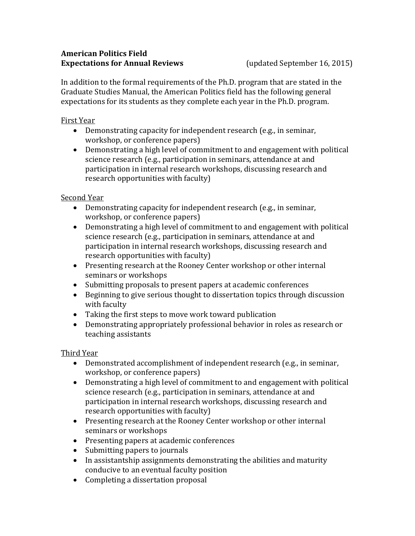#### **American Politics Field Expectations for Annual Reviews** (updated September 16, 2015)

In addition to the formal requirements of the Ph.D. program that are stated in the Graduate Studies Manual, the American Politics field has the following general expectations for its students as they complete each year in the Ph.D. program.

### First Year

- Demonstrating capacity for independent research (e.g., in seminar, workshop, or conference papers)
- Demonstrating a high level of commitment to and engagement with political science research (e.g., participation in seminars, attendance at and participation in internal research workshops, discussing research and research opportunities with faculty)

# Second Year

- Demonstrating capacity for independent research (e.g., in seminar, workshop, or conference papers)
- Demonstrating a high level of commitment to and engagement with political science research (e.g., participation in seminars, attendance at and participation in internal research workshops, discussing research and research opportunities with faculty)
- Presenting research at the Rooney Center workshop or other internal seminars or workshops
- Submitting proposals to present papers at academic conferences
- Beginning to give serious thought to dissertation topics through discussion with faculty
- Taking the first steps to move work toward publication
- Demonstrating appropriately professional behavior in roles as research or teaching assistants

# Third Year

- Demonstrated accomplishment of independent research (e.g., in seminar, workshop, or conference papers)
- Demonstrating a high level of commitment to and engagement with political science research (e.g., participation in seminars, attendance at and participation in internal research workshops, discussing research and research opportunities with faculty)
- Presenting research at the Rooney Center workshop or other internal seminars or workshops
- Presenting papers at academic conferences
- Submitting papers to journals
- In assistantship assignments demonstrating the abilities and maturity conducive to an eventual faculty position
- Completing a dissertation proposal